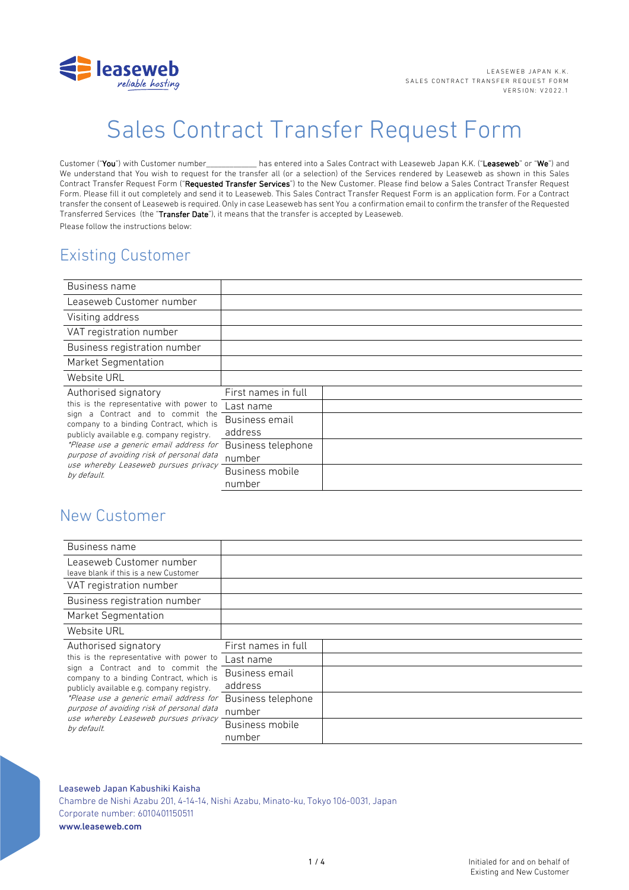

# Sales Contract Transfer Request Form

Customer ("You") with Customer number\_\_\_\_\_\_\_\_\_\_\_\_ has entered into a Sales Contract with Leaseweb Japan K.K. ("Leaseweb" or "We") and We understand that You wish to request for the transfer all (or a selection) of the Services rendered by Leaseweb as shown in this Sales Contract Transfer Request Form ("Requested Transfer Services") to the New Customer. Please find below a Sales Contract Transfer Request Form. Please fill it out completely and send it to Leaseweb. This Sales Contract Transfer Request Form is an application form. For a Contract transfer the consent of Leaseweb is required. Only in case Leaseweb has sent You a confirmation email to confirm the transfer of the Requested Transferred Services (the "Transfer Date"), it means that the transfer is accepted by Leaseweb. Please follow the instructions below:

# Existing Customer

| Business name                                                                                                                                                                                                                                                                                                                                |                     |  |
|----------------------------------------------------------------------------------------------------------------------------------------------------------------------------------------------------------------------------------------------------------------------------------------------------------------------------------------------|---------------------|--|
| Leaseweb Customer number                                                                                                                                                                                                                                                                                                                     |                     |  |
| Visiting address                                                                                                                                                                                                                                                                                                                             |                     |  |
| VAT registration number                                                                                                                                                                                                                                                                                                                      |                     |  |
| Business registration number                                                                                                                                                                                                                                                                                                                 |                     |  |
| Market Segmentation                                                                                                                                                                                                                                                                                                                          |                     |  |
| Website URL                                                                                                                                                                                                                                                                                                                                  |                     |  |
| Authorised signatory<br>this is the representative with power to<br>sign a Contract and to commit the<br>company to a binding Contract, which is<br>publicly available e.g. company registry.<br>*Please use a generic email address for<br>purpose of avoiding risk of personal data<br>use whereby Leaseweb pursues privacy<br>by default. | First names in full |  |
|                                                                                                                                                                                                                                                                                                                                              | Last name           |  |
|                                                                                                                                                                                                                                                                                                                                              | Business email      |  |
|                                                                                                                                                                                                                                                                                                                                              | address             |  |
|                                                                                                                                                                                                                                                                                                                                              | Business telephone  |  |
|                                                                                                                                                                                                                                                                                                                                              | number              |  |
|                                                                                                                                                                                                                                                                                                                                              | Business mobile     |  |
|                                                                                                                                                                                                                                                                                                                                              | number              |  |

# New Customer

| Business name                                                                                                                                                                                                                                                                                                                                |                              |  |
|----------------------------------------------------------------------------------------------------------------------------------------------------------------------------------------------------------------------------------------------------------------------------------------------------------------------------------------------|------------------------------|--|
| Leaseweb Customer number<br>leave blank if this is a new Customer                                                                                                                                                                                                                                                                            |                              |  |
| VAT registration number                                                                                                                                                                                                                                                                                                                      |                              |  |
| Business registration number                                                                                                                                                                                                                                                                                                                 |                              |  |
| <b>Market Segmentation</b>                                                                                                                                                                                                                                                                                                                   |                              |  |
| Website URL                                                                                                                                                                                                                                                                                                                                  |                              |  |
| Authorised signatory<br>this is the representative with power to<br>sign a Contract and to commit the<br>company to a binding Contract, which is<br>publicly available e.g. company registry.<br>*Please use a generic email address for<br>purpose of avoiding risk of personal data<br>use whereby Leaseweb pursues privacy<br>by default. | First names in full          |  |
|                                                                                                                                                                                                                                                                                                                                              | Last name                    |  |
|                                                                                                                                                                                                                                                                                                                                              | Business email<br>address    |  |
|                                                                                                                                                                                                                                                                                                                                              | Business telephone<br>number |  |
|                                                                                                                                                                                                                                                                                                                                              | Business mobile<br>number    |  |

# Leaseweb Japan Kabushiki Kaisha Chambre de Nishi Azabu 201, 4-14-14, Nishi Azabu, Minato-ku, Tokyo 106-0031, Japan Corporate number: 6010401150511 www.leaseweb.com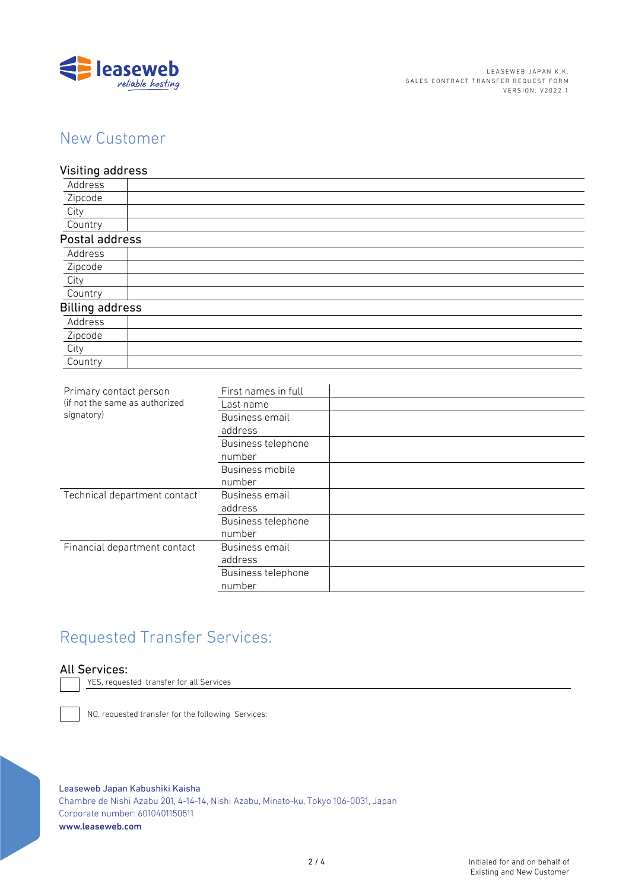

# New Customer

Visiting address Address Zipcode City Country Postal address Address Zipcode City Country Billing address Address Zipcode City Country Primary contact person (if not the same as authorized signatory) First names in full Last name Business email address Business telephone number Business mobile number Technical department contact Business email

number Financial department contact Business email address Business telephone number

# Requested Transfer Services:

# All Services:

YES, requested transfer for all Services

NO, requested transfer for the following Services:

Leaseweb Japan Kabushiki Kaisha Chambre de Nishi Azabu 201, 4-14-14, Nishi Azabu, Minato-ku, Tokyo 106-0031, Japan Corporate number: 6010401150511 www.leaseweb.com

address

Business telephone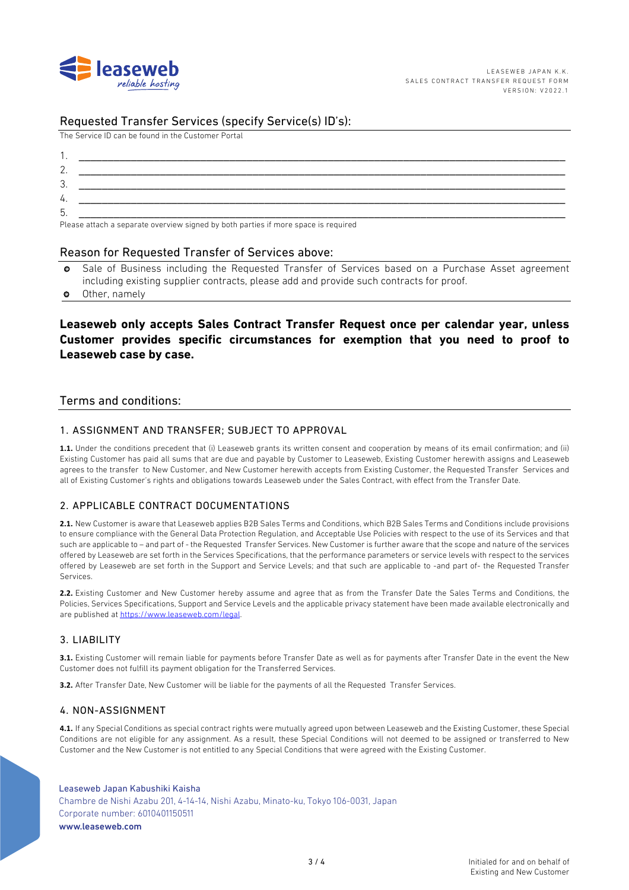

# Requested Transfer Services (specify Service(s) ID's):

The Service ID can be found in the Customer Portal

| .ن |                                                                                                                                                                                                                                |
|----|--------------------------------------------------------------------------------------------------------------------------------------------------------------------------------------------------------------------------------|
| 4. |                                                                                                                                                                                                                                |
| b. |                                                                                                                                                                                                                                |
|    | the contract of the contract of the contract of the contract of the contract of the contract of the contract of the contract of the contract of the contract of the contract of the contract of the contract of the contract o |

Please attach a separate overview signed by both parties if more space is required

### Reason for Requested Transfer of Services above:

- o Sale of Business including the Requested Transfer of Services based on a Purchase Asset agreement including existing supplier contracts, please add and provide such contracts for proof.
- o Other, namely

# **Leaseweb only accepts Sales Contract Transfer Request once per calendar year, unless Customer provides specific circumstances for exemption that you need to proof to Leaseweb case by case.**

# Terms and conditions:

### 1. ASSIGNMENT AND TRANSFER; SUBJECT TO APPROVAL

**1.1.** Under the conditions precedent that (i) Leaseweb grants its written consent and cooperation by means of its email confirmation; and (ii) Existing Customer has paid all sums that are due and payable by Customer to Leaseweb, Existing Customer herewith assigns and Leaseweb agrees to the transfer to New Customer, and New Customer herewith accepts from Existing Customer, the Requested Transfer Services and all of Existing Customer's rights and obligations towards Leaseweb under the Sales Contract, with effect from the Transfer Date.

# 2. APPLICABLE CONTRACT DOCUMENTATIONS

**2.1.** New Customer is aware that Leaseweb applies B2B Sales Terms and Conditions, which B2B Sales Terms and Conditions include provisions to ensure compliance with the General Data Protection Regulation, and Acceptable Use Policies with respect to the use of its Services and that such are applicable to – and part of - the Requested Transfer Services. New Customer is further aware that the scope and nature of the services offered by Leaseweb are set forth in the Services Specifications, that the performance parameters or service levels with respect to the services offered by Leaseweb are set forth in the Support and Service Levels; and that such are applicable to -and part of- the Requested Transfer Services.

**2.2.** Existing Customer and New Customer hereby assume and agree that as from the Transfer Date the Sales Terms and Conditions, the Policies, Services Specifications, Support and Service Levels and the applicable privacy statement have been made available electronically and are published at https://www.leaseweb.com/legal.

# 3. LIABILITY

**3.1.** Existing Customer will remain liable for payments before Transfer Date as well as for payments after Transfer Date in the event the New Customer does not fulfill its payment obligation for the Transferred Services.

**3.2.** After Transfer Date, New Customer will be liable for the payments of all the Requested Transfer Services.

#### 4. NON-ASSIGNMENT

**4.1.** If any Special Conditions as special contract rights were mutually agreed upon between Leaseweb and the Existing Customer, these Special Conditions are not eligible for any assignment. As a result, these Special Conditions will not deemed to be assigned or transferred to New Customer and the New Customer is not entitled to any Special Conditions that were agreed with the Existing Customer.

### Leaseweb Japan Kabushiki Kaisha Chambre de Nishi Azabu 201, 4-14-14, Nishi Azabu, Minato-ku, Tokyo 106-0031, Japan Corporate number: 6010401150511 www.leaseweb.com